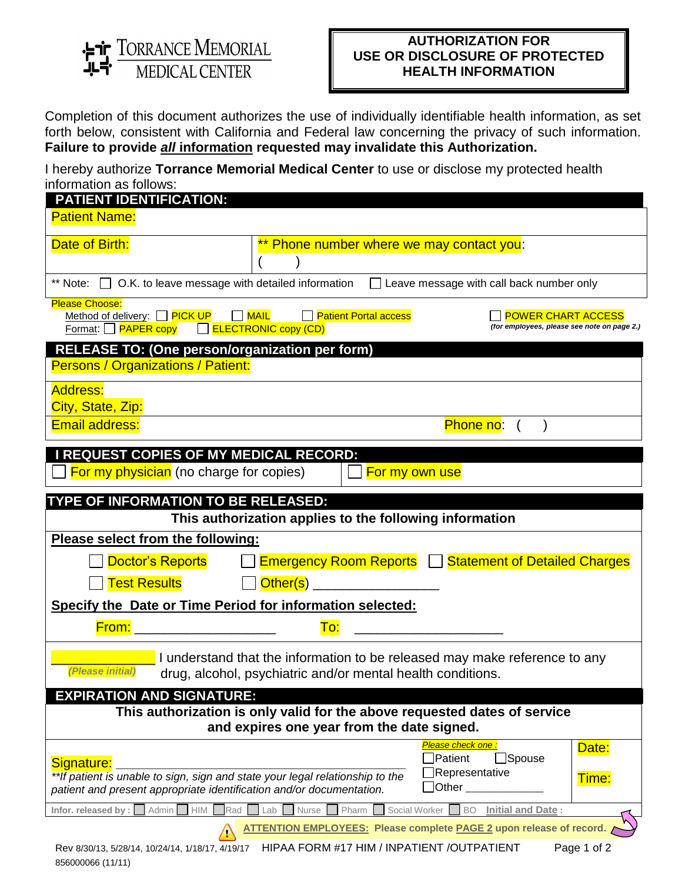ST TORRANCE MEMORIAL

856000066 (11/11)

## **AUTHORIZATION FOR USE OR DISCLOSURE OF PROTECTED HEALTH INFORMATION**

Completion of this document authorizes the use of individually identifiable health information, as set forth below, consistent with California and Federal law concerning the privacy of such information. **Failure to provide** *all* **information requested may invalidate this Authorization.**

I hereby authorize **Torrance Memorial Medical Center** to use or disclose my protected health information as follows:

| <b>PATIENT IDENTIFICATION:</b>                                                                                                                                                                                                            |                                                         |                                                                                                                 |  |  |
|-------------------------------------------------------------------------------------------------------------------------------------------------------------------------------------------------------------------------------------------|---------------------------------------------------------|-----------------------------------------------------------------------------------------------------------------|--|--|
| <b>Patient Name:</b>                                                                                                                                                                                                                      |                                                         |                                                                                                                 |  |  |
| Date of Birth:                                                                                                                                                                                                                            | Phone number where we may contact you:                  |                                                                                                                 |  |  |
|                                                                                                                                                                                                                                           |                                                         | ** Note: $\Box$ O.K. to leave message with detailed information $\Box$ Leave message with call back number only |  |  |
| <b>Please Choose:</b><br>Method of delivery: $\Box$ PICK UP $\Box$ MAIL $\Box$ Patient Portal access<br><b>POWER CHART ACCESS</b><br>(for employees, please see note on page 2.)<br>$Format: \Box$ PAPER copy $\Box$ ELECTRONIC copy (CD) |                                                         |                                                                                                                 |  |  |
| <b>RELEASE TO: (One person/organization per form)</b><br>Persons / Organizations / Patient:                                                                                                                                               |                                                         |                                                                                                                 |  |  |
| <b>Address:</b>                                                                                                                                                                                                                           |                                                         |                                                                                                                 |  |  |
| City, State, Zip:<br><b>Email address:</b>                                                                                                                                                                                                |                                                         |                                                                                                                 |  |  |
|                                                                                                                                                                                                                                           |                                                         | Phone no: (                                                                                                     |  |  |
| <b>I REQUEST COPIES OF MY MEDICAL RECORD:</b><br><b>For my physician</b> (no charge for copies)                                                                                                                                           |                                                         | For my own use                                                                                                  |  |  |
| TYPE OF INFORMATION TO BE RELEASED:                                                                                                                                                                                                       |                                                         |                                                                                                                 |  |  |
|                                                                                                                                                                                                                                           | This authorization applies to the following information |                                                                                                                 |  |  |
| Please select from the following:                                                                                                                                                                                                         |                                                         |                                                                                                                 |  |  |
|                                                                                                                                                                                                                                           |                                                         | Doctor's Reports   Emergency Room Reports   Statement of Detailed Charges                                       |  |  |
| Test Results                                                                                                                                                                                                                              | <b>Other(s)</b> ___________________                     |                                                                                                                 |  |  |
| Specify the Date or Time Period for information selected:                                                                                                                                                                                 |                                                         |                                                                                                                 |  |  |
| <b>From:</b> The contract of the contract of the contract of the contract of the contract of the contract of the contract of the contract of the contract of the contract of the contract of the contract of the contract of the co       | To:                                                     |                                                                                                                 |  |  |
| I understand that the information to be released may make reference to any<br>(Please initial)<br>drug, alcohol, psychiatric and/or mental health conditions.                                                                             |                                                         |                                                                                                                 |  |  |
| <b>EXPIRATION AND SIGNATURE:</b>                                                                                                                                                                                                          |                                                         |                                                                                                                 |  |  |
| This authorization is only valid for the above requested dates of service<br>and expires one year from the date signed.                                                                                                                   |                                                         |                                                                                                                 |  |  |
| Signature:<br>**If patient is unable to sign, sign and state your legal relationship to the<br>patient and present appropriate identification and/or documentation.                                                                       |                                                         | Please check one :<br>Date:<br>$\Box$ Spouse<br>Patient<br>Representative<br>Time:<br>$\Box$ Other              |  |  |
| HIM<br><b>Initial and Date:</b><br>Infor. released by :<br>Admin<br>Pharm<br>Social Worker<br><b>BO</b><br>Rad<br>Lab<br>Nurse                                                                                                            |                                                         |                                                                                                                 |  |  |
|                                                                                                                                                                                                                                           |                                                         | <b>ATTENTION EMPLOYEES: Please complete PAGE 2 upon release of record.</b>                                      |  |  |
| Rev 8/30/13, 5/28/14, 10/24/14, 1/18/17, 4/19/17                                                                                                                                                                                          | HIPAA FORM #17 HIM / INPATIENT /OUTPATIENT              | Page 1 of 2                                                                                                     |  |  |